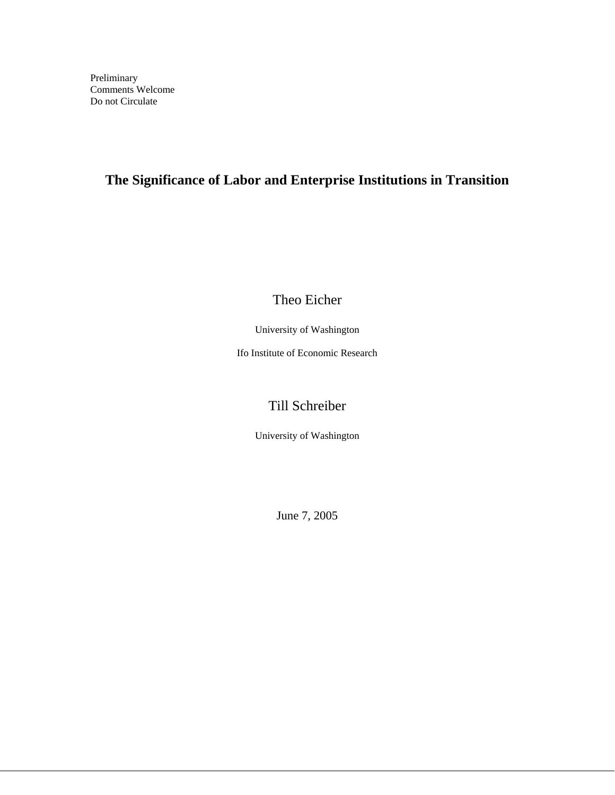# **The Significance of Labor and Enterprise Institutions in Transition**

Theo Eicher

University of Washington

Ifo Institute of Economic Research

# Till Schreiber

University of Washington

June 7, 2005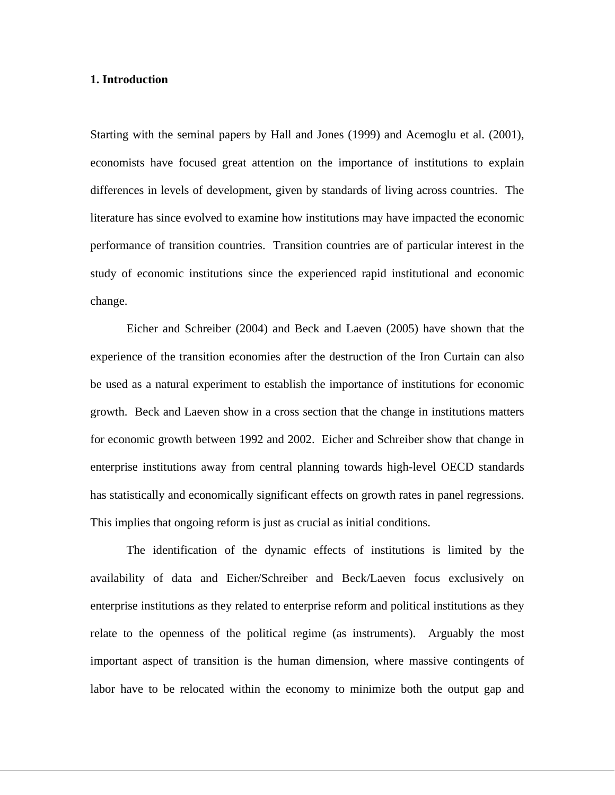### **1. Introduction**

Starting with the seminal papers by Hall and Jones (1999) and Acemoglu et al. (2001), economists have focused great attention on the importance of institutions to explain differences in levels of development, given by standards of living across countries. The literature has since evolved to examine how institutions may have impacted the economic performance of transition countries. Transition countries are of particular interest in the study of economic institutions since the experienced rapid institutional and economic change.

 Eicher and Schreiber (2004) and Beck and Laeven (2005) have shown that the experience of the transition economies after the destruction of the Iron Curtain can also be used as a natural experiment to establish the importance of institutions for economic growth. Beck and Laeven show in a cross section that the change in institutions matters for economic growth between 1992 and 2002. Eicher and Schreiber show that change in enterprise institutions away from central planning towards high-level OECD standards has statistically and economically significant effects on growth rates in panel regressions. This implies that ongoing reform is just as crucial as initial conditions.

 The identification of the dynamic effects of institutions is limited by the availability of data and Eicher/Schreiber and Beck/Laeven focus exclusively on enterprise institutions as they related to enterprise reform and political institutions as they relate to the openness of the political regime (as instruments). Arguably the most important aspect of transition is the human dimension, where massive contingents of labor have to be relocated within the economy to minimize both the output gap and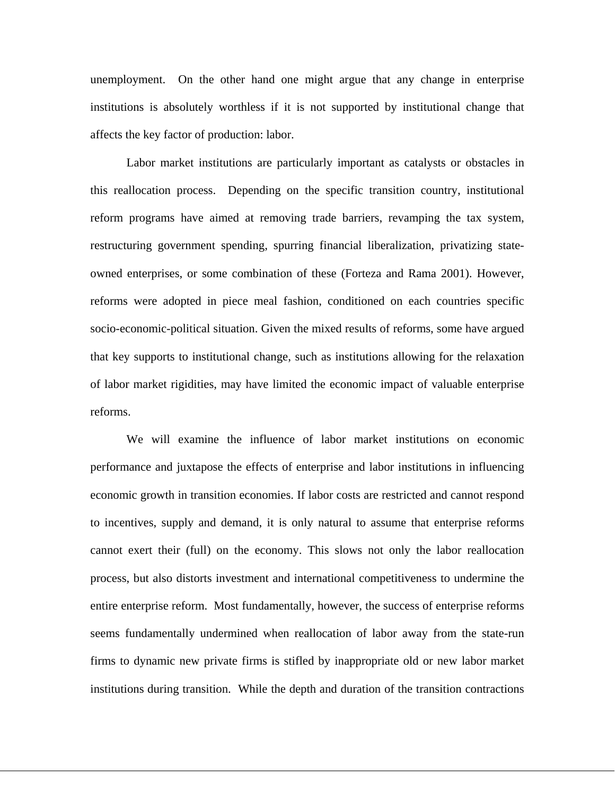unemployment. On the other hand one might argue that any change in enterprise institutions is absolutely worthless if it is not supported by institutional change that affects the key factor of production: labor.

 Labor market institutions are particularly important as catalysts or obstacles in this reallocation process. Depending on the specific transition country, institutional reform programs have aimed at removing trade barriers, revamping the tax system, restructuring government spending, spurring financial liberalization, privatizing stateowned enterprises, or some combination of these (Forteza and Rama 2001). However, reforms were adopted in piece meal fashion, conditioned on each countries specific socio-economic-political situation. Given the mixed results of reforms, some have argued that key supports to institutional change, such as institutions allowing for the relaxation of labor market rigidities, may have limited the economic impact of valuable enterprise reforms.

 We will examine the influence of labor market institutions on economic performance and juxtapose the effects of enterprise and labor institutions in influencing economic growth in transition economies. If labor costs are restricted and cannot respond to incentives, supply and demand, it is only natural to assume that enterprise reforms cannot exert their (full) on the economy. This slows not only the labor reallocation process, but also distorts investment and international competitiveness to undermine the entire enterprise reform. Most fundamentally, however, the success of enterprise reforms seems fundamentally undermined when reallocation of labor away from the state-run firms to dynamic new private firms is stifled by inappropriate old or new labor market institutions during transition. While the depth and duration of the transition contractions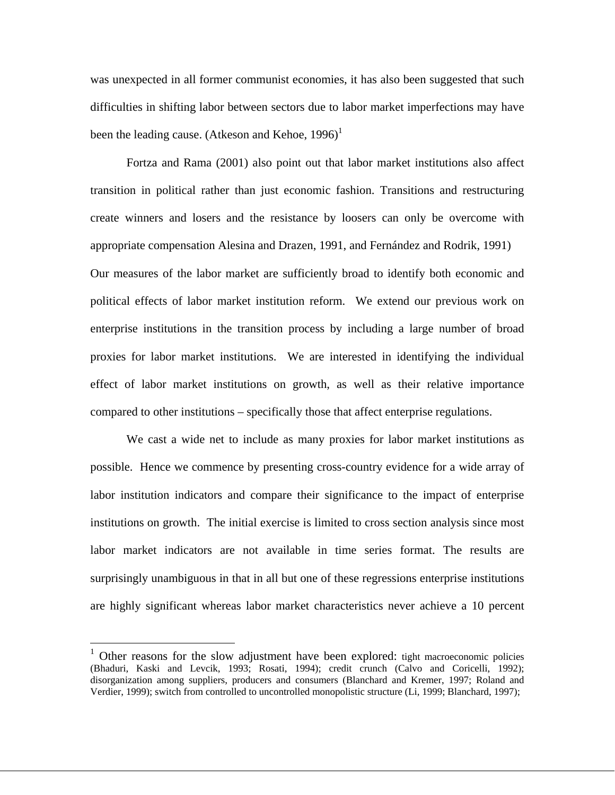was unexpected in all former communist economies, it has also been suggested that such difficulties in shifting labor between sectors due to labor market imperfections may have been the leading cause. (Atkeson and Kehoe,  $1996$ )<sup>1</sup>

 Fortza and Rama (2001) also point out that labor market institutions also affect transition in political rather than just economic fashion. Transitions and restructuring create winners and losers and the resistance by loosers can only be overcome with appropriate compensation Alesina and Drazen, 1991, and Fernández and Rodrik, 1991) Our measures of the labor market are sufficiently broad to identify both economic and political effects of labor market institution reform. We extend our previous work on enterprise institutions in the transition process by including a large number of broad proxies for labor market institutions. We are interested in identifying the individual effect of labor market institutions on growth, as well as their relative importance compared to other institutions – specifically those that affect enterprise regulations.

 We cast a wide net to include as many proxies for labor market institutions as possible. Hence we commence by presenting cross-country evidence for a wide array of labor institution indicators and compare their significance to the impact of enterprise institutions on growth. The initial exercise is limited to cross section analysis since most labor market indicators are not available in time series format. The results are surprisingly unambiguous in that in all but one of these regressions enterprise institutions are highly significant whereas labor market characteristics never achieve a 10 percent

1

 $1$  Other reasons for the slow adjustment have been explored: tight macroeconomic policies (Bhaduri, Kaski and Levcik, 1993; Rosati, 1994); credit crunch (Calvo and Coricelli, 1992); disorganization among suppliers, producers and consumers (Blanchard and Kremer, 1997; Roland and Verdier, 1999); switch from controlled to uncontrolled monopolistic structure (Li, 1999; Blanchard, 1997);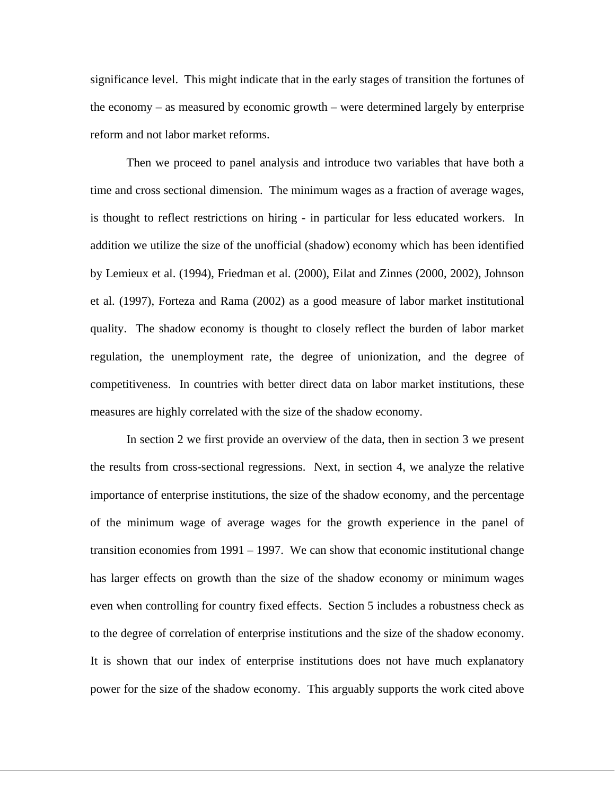significance level. This might indicate that in the early stages of transition the fortunes of the economy – as measured by economic growth – were determined largely by enterprise reform and not labor market reforms.

 Then we proceed to panel analysis and introduce two variables that have both a time and cross sectional dimension. The minimum wages as a fraction of average wages, is thought to reflect restrictions on hiring - in particular for less educated workers. In addition we utilize the size of the unofficial (shadow) economy which has been identified by Lemieux et al. (1994), Friedman et al. (2000), Eilat and Zinnes (2000, 2002), Johnson et al. (1997), Forteza and Rama (2002) as a good measure of labor market institutional quality. The shadow economy is thought to closely reflect the burden of labor market regulation, the unemployment rate, the degree of unionization, and the degree of competitiveness. In countries with better direct data on labor market institutions, these measures are highly correlated with the size of the shadow economy.

 In section 2 we first provide an overview of the data, then in section 3 we present the results from cross-sectional regressions. Next, in section 4, we analyze the relative importance of enterprise institutions, the size of the shadow economy, and the percentage of the minimum wage of average wages for the growth experience in the panel of transition economies from 1991 – 1997. We can show that economic institutional change has larger effects on growth than the size of the shadow economy or minimum wages even when controlling for country fixed effects. Section 5 includes a robustness check as to the degree of correlation of enterprise institutions and the size of the shadow economy. It is shown that our index of enterprise institutions does not have much explanatory power for the size of the shadow economy. This arguably supports the work cited above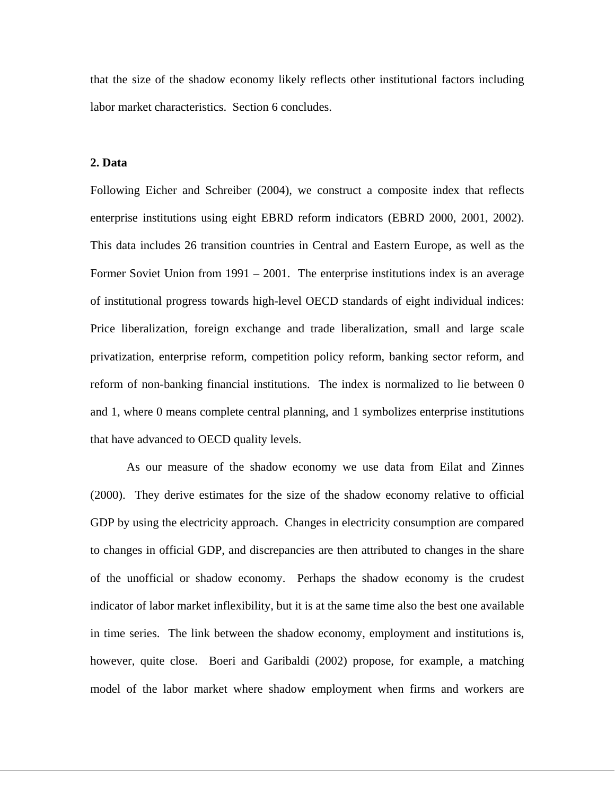that the size of the shadow economy likely reflects other institutional factors including labor market characteristics. Section 6 concludes.

### **2. Data**

Following Eicher and Schreiber (2004), we construct a composite index that reflects enterprise institutions using eight EBRD reform indicators (EBRD 2000, 2001, 2002). This data includes 26 transition countries in Central and Eastern Europe, as well as the Former Soviet Union from 1991 – 2001. The enterprise institutions index is an average of institutional progress towards high-level OECD standards of eight individual indices: Price liberalization, foreign exchange and trade liberalization, small and large scale privatization, enterprise reform, competition policy reform, banking sector reform, and reform of non-banking financial institutions. The index is normalized to lie between 0 and 1, where 0 means complete central planning, and 1 symbolizes enterprise institutions that have advanced to OECD quality levels.

 As our measure of the shadow economy we use data from Eilat and Zinnes (2000). They derive estimates for the size of the shadow economy relative to official GDP by using the electricity approach. Changes in electricity consumption are compared to changes in official GDP, and discrepancies are then attributed to changes in the share of the unofficial or shadow economy. Perhaps the shadow economy is the crudest indicator of labor market inflexibility, but it is at the same time also the best one available in time series. The link between the shadow economy, employment and institutions is, however, quite close. Boeri and Garibaldi (2002) propose, for example, a matching model of the labor market where shadow employment when firms and workers are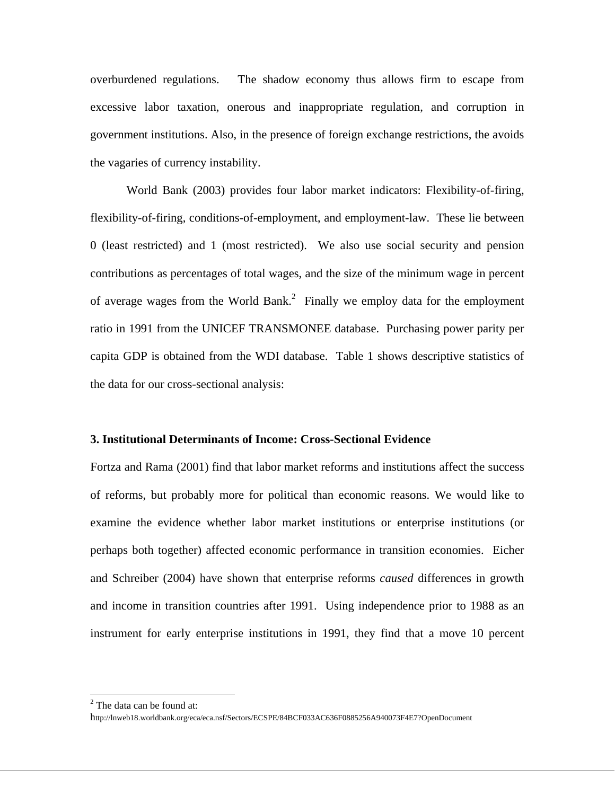overburdened regulations. The shadow economy thus allows firm to escape from excessive labor taxation, onerous and inappropriate regulation, and corruption in government institutions. Also, in the presence of foreign exchange restrictions, the avoids the vagaries of currency instability.

 World Bank (2003) provides four labor market indicators: Flexibility-of-firing, flexibility-of-firing, conditions-of-employment, and employment-law. These lie between 0 (least restricted) and 1 (most restricted). We also use social security and pension contributions as percentages of total wages, and the size of the minimum wage in percent of average wages from the World Bank.<sup>2</sup> Finally we employ data for the employment ratio in 1991 from the UNICEF TRANSMONEE database. Purchasing power parity per capita GDP is obtained from the WDI database. Table 1 shows descriptive statistics of the data for our cross-sectional analysis:

#### **3. Institutional Determinants of Income: Cross-Sectional Evidence**

Fortza and Rama (2001) find that labor market reforms and institutions affect the success of reforms, but probably more for political than economic reasons. We would like to examine the evidence whether labor market institutions or enterprise institutions (or perhaps both together) affected economic performance in transition economies. Eicher and Schreiber (2004) have shown that enterprise reforms *caused* differences in growth and income in transition countries after 1991. Using independence prior to 1988 as an instrument for early enterprise institutions in 1991, they find that a move 10 percent

1

 $2^2$  The data can be found at:

http://lnweb18.worldbank.org/eca/eca.nsf/Sectors/ECSPE/84BCF033AC636F0885256A940073F4E7?OpenDocument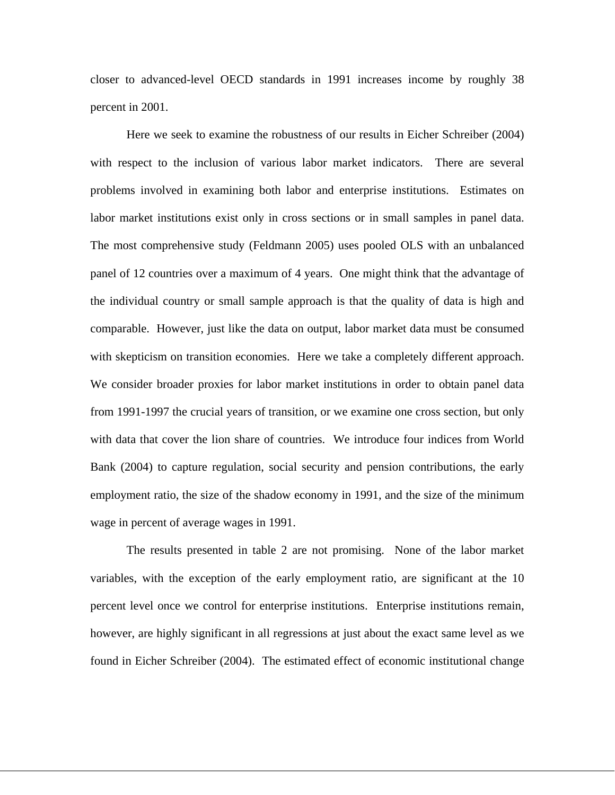closer to advanced-level OECD standards in 1991 increases income by roughly 38 percent in 2001.

 Here we seek to examine the robustness of our results in Eicher Schreiber (2004) with respect to the inclusion of various labor market indicators. There are several problems involved in examining both labor and enterprise institutions. Estimates on labor market institutions exist only in cross sections or in small samples in panel data. The most comprehensive study (Feldmann 2005) uses pooled OLS with an unbalanced panel of 12 countries over a maximum of 4 years. One might think that the advantage of the individual country or small sample approach is that the quality of data is high and comparable. However, just like the data on output, labor market data must be consumed with skepticism on transition economies. Here we take a completely different approach. We consider broader proxies for labor market institutions in order to obtain panel data from 1991-1997 the crucial years of transition, or we examine one cross section, but only with data that cover the lion share of countries. We introduce four indices from World Bank (2004) to capture regulation, social security and pension contributions, the early employment ratio, the size of the shadow economy in 1991, and the size of the minimum wage in percent of average wages in 1991.

 The results presented in table 2 are not promising. None of the labor market variables, with the exception of the early employment ratio, are significant at the 10 percent level once we control for enterprise institutions. Enterprise institutions remain, however, are highly significant in all regressions at just about the exact same level as we found in Eicher Schreiber (2004). The estimated effect of economic institutional change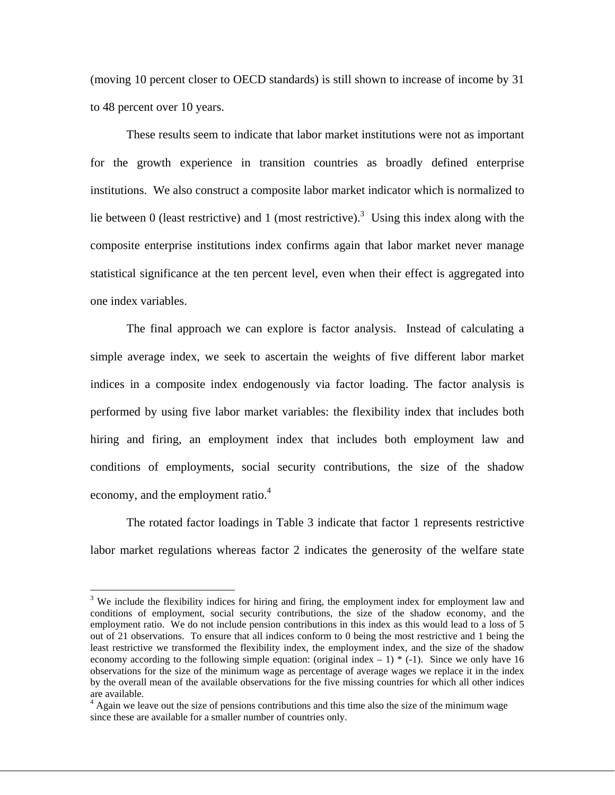(moving 10 percent closer to OECD standards) is still shown to increase of income by 31 to 48 percent over 10 years.

 These results seem to indicate that labor market institutions were not as important for the growth experience in transition countries as broadly defined enterprise institutions. We also construct a composite labor market indicator which is normalized to lie between 0 (least restrictive) and 1 (most restrictive).<sup>3</sup> Using this index along with the composite enterprise institutions index confirms again that labor market never manage statistical significance at the ten percent level, even when their effect is aggregated into one index variables.

 The final approach we can explore is factor analysis. Instead of calculating a simple average index, we seek to ascertain the weights of five different labor market indices in a composite index endogenously via factor loading. The factor analysis is performed by using five labor market variables: the flexibility index that includes both hiring and firing, an employment index that includes both employment law and conditions of employments, social security contributions, the size of the shadow economy, and the employment ratio.<sup>4</sup>

 The rotated factor loadings in Table 3 indicate that factor 1 represents restrictive labor market regulations whereas factor 2 indicates the generosity of the welfare state

 $\overline{a}$ 

 $3$  We include the flexibility indices for hiring and firing, the employment index for employment law and conditions of employment, social security contributions, the size of the shadow economy, and the employment ratio. We do not include pension contributions in this index as this would lead to a loss of 5 out of 21 observations. To ensure that all indices conform to 0 being the most restrictive and 1 being the least restrictive we transformed the flexibility index, the employment index, and the size of the shadow economy according to the following simple equation: (original index  $-1$ )  $*$  (-1). Since we only have 16 observations for the size of the minimum wage as percentage of average wages we replace it in the index by the overall mean of the available observations for the five missing countries for which all other indices are available.

<sup>&</sup>lt;sup>4</sup> Again we leave out the size of pensions contributions and this time also the size of the minimum wage since these are available for a smaller number of countries only.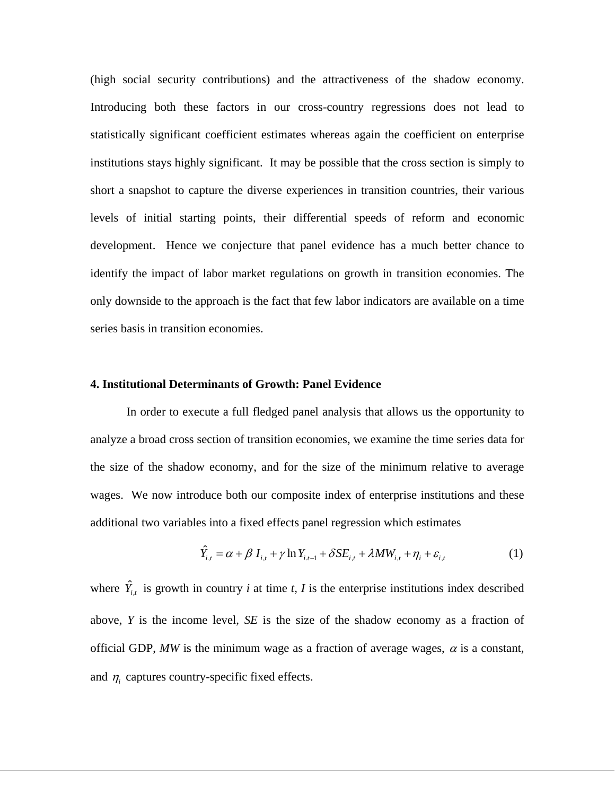(high social security contributions) and the attractiveness of the shadow economy. Introducing both these factors in our cross-country regressions does not lead to statistically significant coefficient estimates whereas again the coefficient on enterprise institutions stays highly significant. It may be possible that the cross section is simply to short a snapshot to capture the diverse experiences in transition countries, their various levels of initial starting points, their differential speeds of reform and economic development. Hence we conjecture that panel evidence has a much better chance to identify the impact of labor market regulations on growth in transition economies. The only downside to the approach is the fact that few labor indicators are available on a time series basis in transition economies.

#### **4. Institutional Determinants of Growth: Panel Evidence**

 In order to execute a full fledged panel analysis that allows us the opportunity to analyze a broad cross section of transition economies, we examine the time series data for the size of the shadow economy, and for the size of the minimum relative to average wages. We now introduce both our composite index of enterprise institutions and these additional two variables into a fixed effects panel regression which estimates

$$
\hat{Y}_{i,t} = \alpha + \beta I_{i,t} + \gamma \ln Y_{i,t-1} + \delta SE_{i,t} + \lambda MW_{i,t} + \eta_i + \varepsilon_{i,t}
$$
\n(1)

where  $\hat{Y}_{i,t}$  is growth in country *i* at time *t*, *I* is the enterprise institutions index described above, *Y* is the income level, *SE* is the size of the shadow economy as a fraction of official GDP, MW is the minimum wage as a fraction of average wages,  $\alpha$  is a constant, and  $\eta_i$  captures country-specific fixed effects.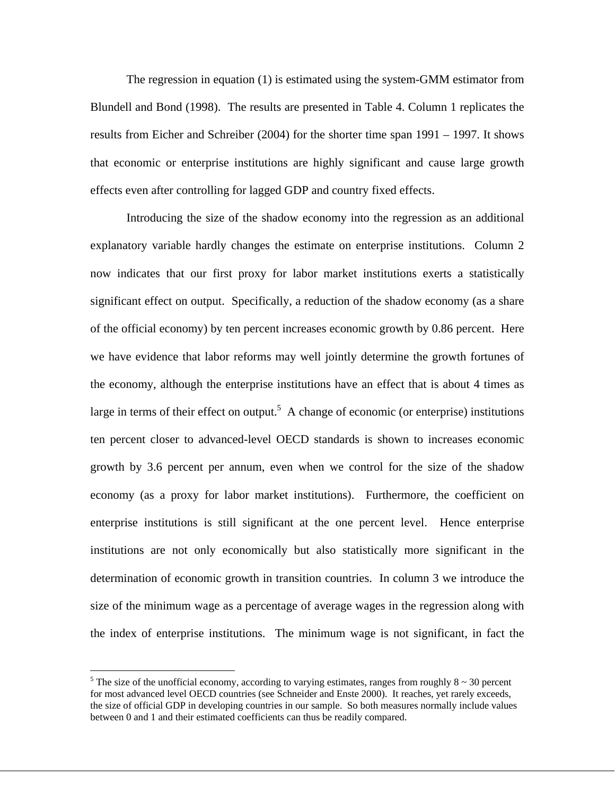The regression in equation (1) is estimated using the system-GMM estimator from Blundell and Bond (1998). The results are presented in Table 4. Column 1 replicates the results from Eicher and Schreiber (2004) for the shorter time span 1991 – 1997. It shows that economic or enterprise institutions are highly significant and cause large growth effects even after controlling for lagged GDP and country fixed effects.

 Introducing the size of the shadow economy into the regression as an additional explanatory variable hardly changes the estimate on enterprise institutions. Column 2 now indicates that our first proxy for labor market institutions exerts a statistically significant effect on output. Specifically, a reduction of the shadow economy (as a share of the official economy) by ten percent increases economic growth by 0.86 percent. Here we have evidence that labor reforms may well jointly determine the growth fortunes of the economy, although the enterprise institutions have an effect that is about 4 times as large in terms of their effect on output.<sup>5</sup> A change of economic (or enterprise) institutions ten percent closer to advanced-level OECD standards is shown to increases economic growth by 3.6 percent per annum, even when we control for the size of the shadow economy (as a proxy for labor market institutions). Furthermore, the coefficient on enterprise institutions is still significant at the one percent level. Hence enterprise institutions are not only economically but also statistically more significant in the determination of economic growth in transition countries. In column 3 we introduce the size of the minimum wage as a percentage of average wages in the regression along with the index of enterprise institutions. The minimum wage is not significant, in fact the

<u>.</u>

<sup>&</sup>lt;sup>5</sup> The size of the unofficial economy, according to varying estimates, ranges from roughly  $8 \sim 30$  percent for most advanced level OECD countries (see Schneider and Enste 2000). It reaches, yet rarely exceeds, the size of official GDP in developing countries in our sample. So both measures normally include values between 0 and 1 and their estimated coefficients can thus be readily compared.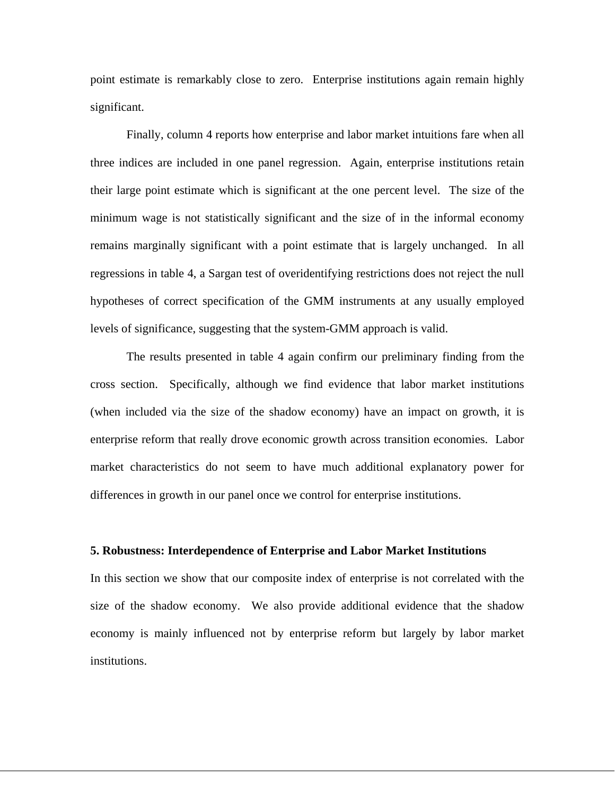point estimate is remarkably close to zero. Enterprise institutions again remain highly significant.

 Finally, column 4 reports how enterprise and labor market intuitions fare when all three indices are included in one panel regression. Again, enterprise institutions retain their large point estimate which is significant at the one percent level. The size of the minimum wage is not statistically significant and the size of in the informal economy remains marginally significant with a point estimate that is largely unchanged. In all regressions in table 4, a Sargan test of overidentifying restrictions does not reject the null hypotheses of correct specification of the GMM instruments at any usually employed levels of significance, suggesting that the system-GMM approach is valid.

 The results presented in table 4 again confirm our preliminary finding from the cross section. Specifically, although we find evidence that labor market institutions (when included via the size of the shadow economy) have an impact on growth, it is enterprise reform that really drove economic growth across transition economies. Labor market characteristics do not seem to have much additional explanatory power for differences in growth in our panel once we control for enterprise institutions.

### **5. Robustness: Interdependence of Enterprise and Labor Market Institutions**

In this section we show that our composite index of enterprise is not correlated with the size of the shadow economy. We also provide additional evidence that the shadow economy is mainly influenced not by enterprise reform but largely by labor market institutions.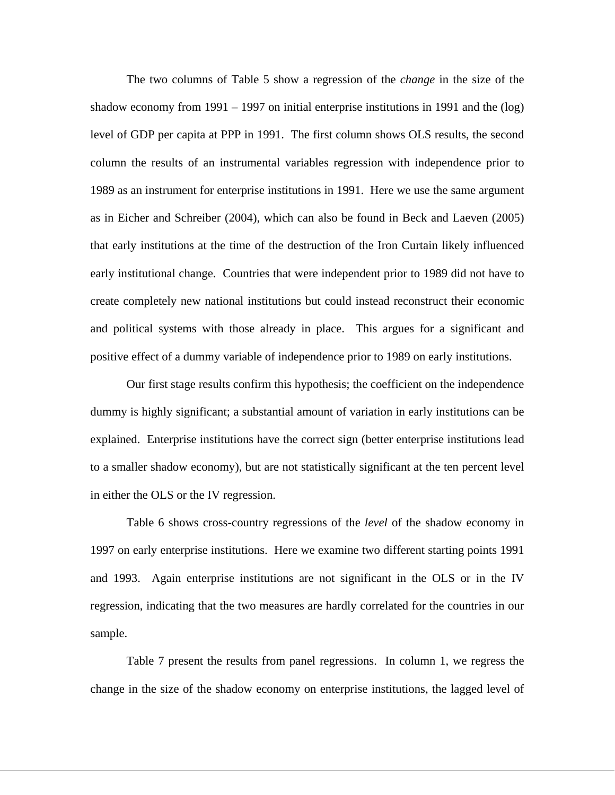The two columns of Table 5 show a regression of the *change* in the size of the shadow economy from 1991 – 1997 on initial enterprise institutions in 1991 and the (log) level of GDP per capita at PPP in 1991. The first column shows OLS results, the second column the results of an instrumental variables regression with independence prior to 1989 as an instrument for enterprise institutions in 1991. Here we use the same argument as in Eicher and Schreiber (2004), which can also be found in Beck and Laeven (2005) that early institutions at the time of the destruction of the Iron Curtain likely influenced early institutional change. Countries that were independent prior to 1989 did not have to create completely new national institutions but could instead reconstruct their economic and political systems with those already in place. This argues for a significant and positive effect of a dummy variable of independence prior to 1989 on early institutions.

 Our first stage results confirm this hypothesis; the coefficient on the independence dummy is highly significant; a substantial amount of variation in early institutions can be explained. Enterprise institutions have the correct sign (better enterprise institutions lead to a smaller shadow economy), but are not statistically significant at the ten percent level in either the OLS or the IV regression.

 Table 6 shows cross-country regressions of the *level* of the shadow economy in 1997 on early enterprise institutions. Here we examine two different starting points 1991 and 1993. Again enterprise institutions are not significant in the OLS or in the IV regression, indicating that the two measures are hardly correlated for the countries in our sample.

 Table 7 present the results from panel regressions. In column 1, we regress the change in the size of the shadow economy on enterprise institutions, the lagged level of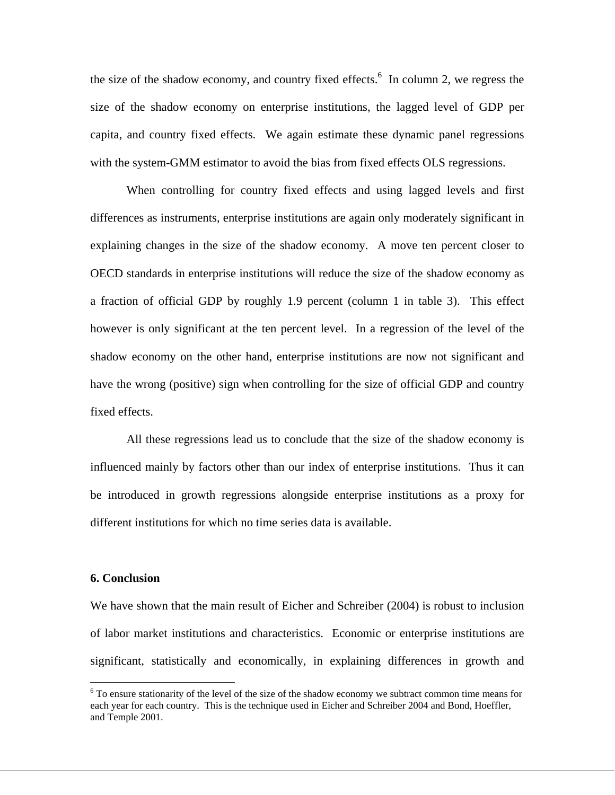the size of the shadow economy, and country fixed effects.<sup>6</sup> In column 2, we regress the size of the shadow economy on enterprise institutions, the lagged level of GDP per capita, and country fixed effects. We again estimate these dynamic panel regressions with the system-GMM estimator to avoid the bias from fixed effects OLS regressions.

When controlling for country fixed effects and using lagged levels and first differences as instruments, enterprise institutions are again only moderately significant in explaining changes in the size of the shadow economy. A move ten percent closer to OECD standards in enterprise institutions will reduce the size of the shadow economy as a fraction of official GDP by roughly 1.9 percent (column 1 in table 3). This effect however is only significant at the ten percent level. In a regression of the level of the shadow economy on the other hand, enterprise institutions are now not significant and have the wrong (positive) sign when controlling for the size of official GDP and country fixed effects.

 All these regressions lead us to conclude that the size of the shadow economy is influenced mainly by factors other than our index of enterprise institutions. Thus it can be introduced in growth regressions alongside enterprise institutions as a proxy for different institutions for which no time series data is available.

### **6. Conclusion**

1

We have shown that the main result of Eicher and Schreiber (2004) is robust to inclusion of labor market institutions and characteristics. Economic or enterprise institutions are significant, statistically and economically, in explaining differences in growth and

<sup>&</sup>lt;sup>6</sup> To ensure stationarity of the level of the size of the shadow economy we subtract common time means for each year for each country. This is the technique used in Eicher and Schreiber 2004 and Bond, Hoeffler, and Temple 2001.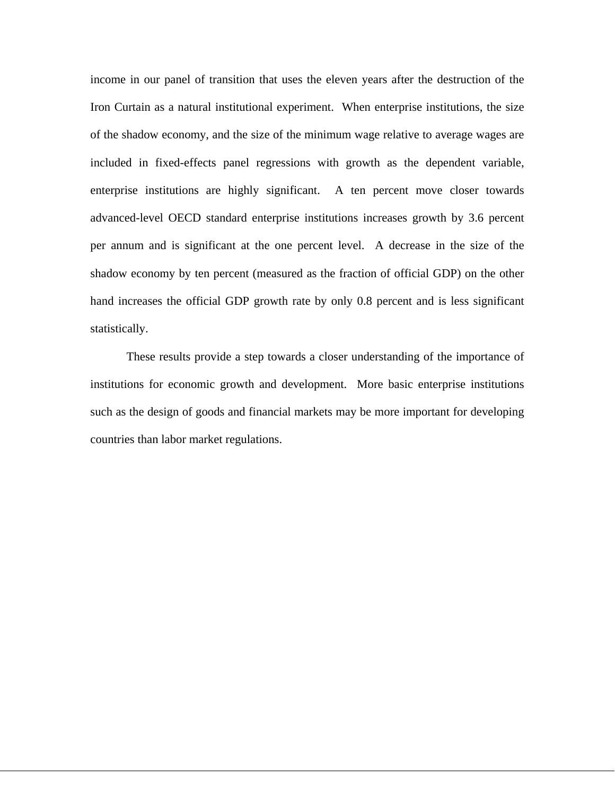income in our panel of transition that uses the eleven years after the destruction of the Iron Curtain as a natural institutional experiment. When enterprise institutions, the size of the shadow economy, and the size of the minimum wage relative to average wages are included in fixed-effects panel regressions with growth as the dependent variable, enterprise institutions are highly significant. A ten percent move closer towards advanced-level OECD standard enterprise institutions increases growth by 3.6 percent per annum and is significant at the one percent level. A decrease in the size of the shadow economy by ten percent (measured as the fraction of official GDP) on the other hand increases the official GDP growth rate by only 0.8 percent and is less significant statistically.

 These results provide a step towards a closer understanding of the importance of institutions for economic growth and development. More basic enterprise institutions such as the design of goods and financial markets may be more important for developing countries than labor market regulations.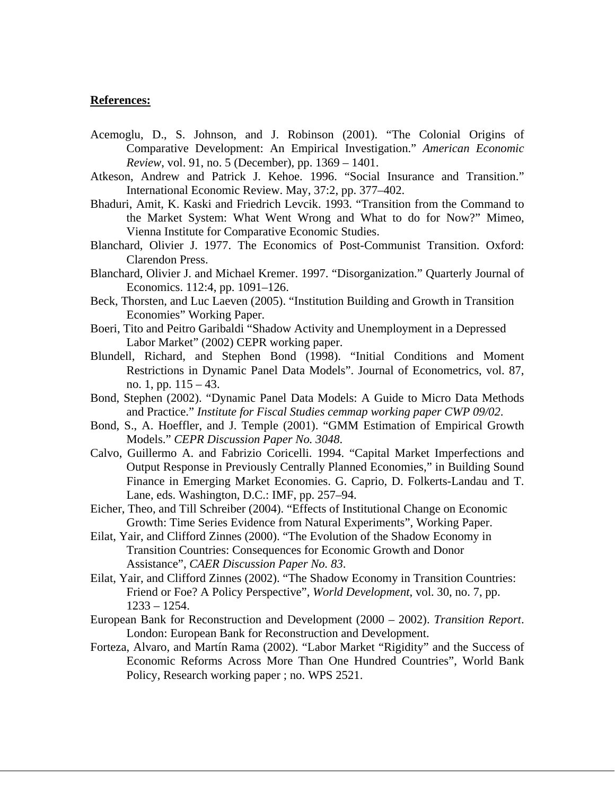#### **References:**

- Acemoglu, D., S. Johnson, and J. Robinson (2001). "The Colonial Origins of Comparative Development: An Empirical Investigation." *American Economic Review*, vol. 91, no. 5 (December), pp. 1369 – 1401.
- Atkeson, Andrew and Patrick J. Kehoe. 1996. "Social Insurance and Transition." International Economic Review. May, 37:2, pp. 377–402.
- Bhaduri, Amit, K. Kaski and Friedrich Levcik. 1993. "Transition from the Command to the Market System: What Went Wrong and What to do for Now?" Mimeo, Vienna Institute for Comparative Economic Studies.
- Blanchard, Olivier J. 1977. The Economics of Post-Communist Transition. Oxford: Clarendon Press.
- Blanchard, Olivier J. and Michael Kremer. 1997. "Disorganization." Quarterly Journal of Economics. 112:4, pp. 1091–126.
- Beck, Thorsten, and Luc Laeven (2005). "Institution Building and Growth in Transition Economies" Working Paper.
- Boeri, Tito and Peitro Garibaldi "Shadow Activity and Unemployment in a Depressed Labor Market" (2002) CEPR working paper.
- Blundell, Richard, and Stephen Bond (1998). "Initial Conditions and Moment Restrictions in Dynamic Panel Data Models". Journal of Econometrics, vol. 87, no. 1, pp. 115 – 43.
- Bond, Stephen (2002). "Dynamic Panel Data Models: A Guide to Micro Data Methods and Practice." *Institute for Fiscal Studies cemmap working paper CWP 09/02*.
- Bond, S., A. Hoeffler, and J. Temple (2001). "GMM Estimation of Empirical Growth Models." *CEPR Discussion Paper No. 3048*.
- Calvo, Guillermo A. and Fabrizio Coricelli. 1994. "Capital Market Imperfections and Output Response in Previously Centrally Planned Economies," in Building Sound Finance in Emerging Market Economies. G. Caprio, D. Folkerts-Landau and T. Lane, eds. Washington, D.C.: IMF, pp. 257–94.
- Eicher, Theo, and Till Schreiber (2004). "Effects of Institutional Change on Economic Growth: Time Series Evidence from Natural Experiments", Working Paper.
- Eilat, Yair, and Clifford Zinnes (2000). "The Evolution of the Shadow Economy in Transition Countries: Consequences for Economic Growth and Donor Assistance", *CAER Discussion Paper No. 83*.
- Eilat, Yair, and Clifford Zinnes (2002). "The Shadow Economy in Transition Countries: Friend or Foe? A Policy Perspective", *World Development*, vol. 30, no. 7, pp. 1233 – 1254.
- European Bank for Reconstruction and Development (2000 2002). *Transition Report*. London: European Bank for Reconstruction and Development.
- Forteza, Alvaro, and Martín Rama (2002). "Labor Market "Rigidity" and the Success of Economic Reforms Across More Than One Hundred Countries", World Bank Policy, Research working paper ; no. WPS 2521.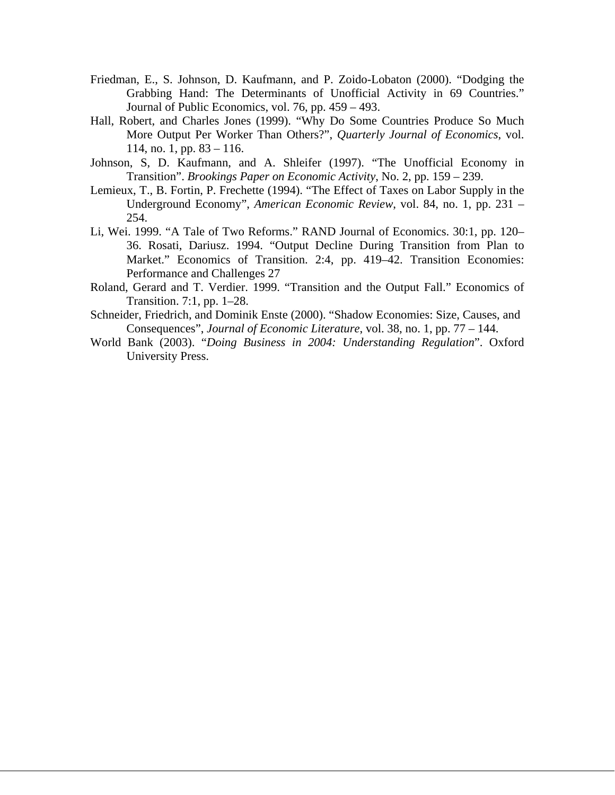- Friedman, E., S. Johnson, D. Kaufmann, and P. Zoido-Lobaton (2000). "Dodging the Grabbing Hand: The Determinants of Unofficial Activity in 69 Countries." Journal of Public Economics, vol. 76, pp. 459 – 493.
- Hall, Robert, and Charles Jones (1999). "Why Do Some Countries Produce So Much More Output Per Worker Than Others?", *Quarterly Journal of Economics*, vol. 114, no. 1, pp. 83 – 116.
- Johnson, S, D. Kaufmann, and A. Shleifer (1997). "The Unofficial Economy in Transition". *Brookings Paper on Economic Activity*, No. 2, pp. 159 – 239.
- Lemieux, T., B. Fortin, P. Frechette (1994). "The Effect of Taxes on Labor Supply in the Underground Economy", *American Economic Review*, vol. 84, no. 1, pp. 231 – 254.
- Li, Wei. 1999. "A Tale of Two Reforms." RAND Journal of Economics. 30:1, pp. 120– 36. Rosati, Dariusz. 1994. "Output Decline During Transition from Plan to Market." Economics of Transition. 2:4, pp. 419–42. Transition Economies: Performance and Challenges 27
- Roland, Gerard and T. Verdier. 1999. "Transition and the Output Fall." Economics of Transition. 7:1, pp. 1–28.
- Schneider, Friedrich, and Dominik Enste (2000). "Shadow Economies: Size, Causes, and Consequences", *Journal of Economic Literature*, vol. 38, no. 1, pp. 77 – 144.
- World Bank (2003). "*Doing Business in 2004: Understanding Regulation*". Oxford University Press.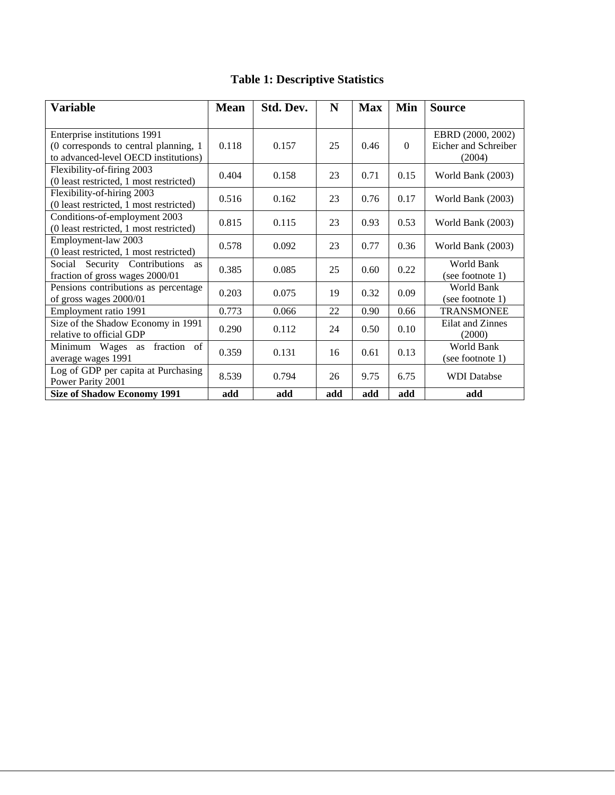| <b>Variable</b>                                                                                               | <b>Mean</b> | Std. Dev. | N   | <b>Max</b> | Min          | <b>Source</b>                                       |
|---------------------------------------------------------------------------------------------------------------|-------------|-----------|-----|------------|--------------|-----------------------------------------------------|
| Enterprise institutions 1991<br>(0 corresponds to central planning, 1<br>to advanced-level OECD institutions) | 0.118       | 0.157     | 25  | 0.46       | $\mathbf{0}$ | EBRD (2000, 2002)<br>Eicher and Schreiber<br>(2004) |
| Flexibility-of-firing 2003<br>(0 least restricted, 1 most restricted)                                         | 0.404       | 0.158     | 23  | 0.71       | 0.15         | World Bank (2003)                                   |
| Flexibility-of-hiring 2003<br>(0 least restricted, 1 most restricted)                                         | 0.516       | 0.162     | 23  | 0.76       | 0.17         | World Bank (2003)                                   |
| Conditions-of-employment 2003<br>(0 least restricted, 1 most restricted)                                      | 0.815       | 0.115     | 23  | 0.93       | 0.53         | World Bank (2003)                                   |
| Employment-law 2003<br>(0 least restricted, 1 most restricted)                                                | 0.578       | 0.092     | 23  | 0.77       | 0.36         | World Bank (2003)                                   |
| Security Contributions<br>Social<br>as<br>fraction of gross wages 2000/01                                     | 0.385       | 0.085     | 25  | 0.60       | 0.22         | <b>World Bank</b><br>(see footnote 1)               |
| Pensions contributions as percentage<br>of gross wages 2000/01                                                | 0.203       | 0.075     | 19  | 0.32       | 0.09         | World Bank<br>(see footnote 1)                      |
| Employment ratio 1991                                                                                         | 0.773       | 0.066     | 22  | 0.90       | 0.66         | <b>TRANSMONEE</b>                                   |
| Size of the Shadow Economy in 1991<br>relative to official GDP                                                | 0.290       | 0.112     | 24  | 0.50       | 0.10         | Eilat and Zinnes<br>(2000)                          |
| fraction of<br>Minimum Wages as<br>average wages 1991                                                         | 0.359       | 0.131     | 16  | 0.61       | 0.13         | World Bank<br>(see footnote 1)                      |
| Log of GDP per capita at Purchasing<br>Power Parity 2001                                                      | 8.539       | 0.794     | 26  | 9.75       | 6.75         | <b>WDI</b> Databse                                  |
| <b>Size of Shadow Economy 1991</b>                                                                            | add         | add       | add | add        | add          | add                                                 |

# **Table 1: Descriptive Statistics**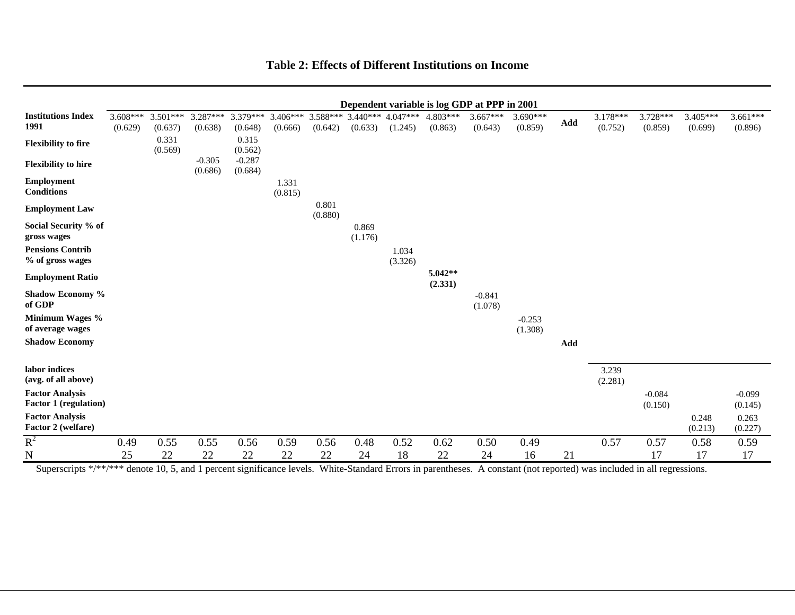#### **Table 2: Effects of Different Institutions on Income**

|                                                        |                       |                       |                     |                     |                       |                       |                       |                       |                       | Dependent variable is log GDP at PPP in 2001 |                       |                |                     |                     |                     |                       |
|--------------------------------------------------------|-----------------------|-----------------------|---------------------|---------------------|-----------------------|-----------------------|-----------------------|-----------------------|-----------------------|----------------------------------------------|-----------------------|----------------|---------------------|---------------------|---------------------|-----------------------|
| <b>Institutions Index</b><br>1991                      | $3.608***$<br>(0.629) | $3.501***$<br>(0.637) | 3.287***<br>(0.638) | 3.379***<br>(0.648) | $3.406***$<br>(0.666) | $3.588***$<br>(0.642) | $3.440***$<br>(0.633) | $4.047***$<br>(1.245) | $4.803***$<br>(0.863) | $3.667***$<br>(0.643)                        | $3.690***$<br>(0.859) | $\mathbf{Add}$ | 3.178***<br>(0.752) | 3.728***<br>(0.859) | 3.405***<br>(0.699) | $3.661***$<br>(0.896) |
| <b>Flexibility to fire</b>                             |                       | 0.331<br>(0.569)      |                     | 0.315<br>(0.562)    |                       |                       |                       |                       |                       |                                              |                       |                |                     |                     |                     |                       |
| <b>Flexibility to hire</b>                             |                       |                       | $-0.305$<br>(0.686) | $-0.287$<br>(0.684) |                       |                       |                       |                       |                       |                                              |                       |                |                     |                     |                     |                       |
| Employment<br><b>Conditions</b>                        |                       |                       |                     |                     | 1.331<br>(0.815)      |                       |                       |                       |                       |                                              |                       |                |                     |                     |                     |                       |
| <b>Employment Law</b>                                  |                       |                       |                     |                     |                       | 0.801<br>(0.880)      |                       |                       |                       |                                              |                       |                |                     |                     |                     |                       |
| Social Security % of<br>gross wages                    |                       |                       |                     |                     |                       |                       | 0.869<br>(1.176)      |                       |                       |                                              |                       |                |                     |                     |                     |                       |
| <b>Pensions Contrib</b><br>% of gross wages            |                       |                       |                     |                     |                       |                       |                       | 1.034<br>(3.326)      |                       |                                              |                       |                |                     |                     |                     |                       |
| <b>Employment Ratio</b>                                |                       |                       |                     |                     |                       |                       |                       |                       | $5.042**$<br>(2.331)  |                                              |                       |                |                     |                     |                     |                       |
| Shadow Economy %<br>of GDP                             |                       |                       |                     |                     |                       |                       |                       |                       |                       | $-0.841$<br>(1.078)                          |                       |                |                     |                     |                     |                       |
| Minimum Wages %<br>of average wages                    |                       |                       |                     |                     |                       |                       |                       |                       |                       |                                              | $-0.253$<br>(1.308)   |                |                     |                     |                     |                       |
| <b>Shadow Economy</b>                                  |                       |                       |                     |                     |                       |                       |                       |                       |                       |                                              |                       | Add            |                     |                     |                     |                       |
| labor indices<br>(avg. of all above)                   |                       |                       |                     |                     |                       |                       |                       |                       |                       |                                              |                       |                | 3.239<br>(2.281)    |                     |                     |                       |
| <b>Factor Analysis</b><br><b>Factor 1 (regulation)</b> |                       |                       |                     |                     |                       |                       |                       |                       |                       |                                              |                       |                |                     | $-0.084$<br>(0.150) |                     | $-0.099$<br>(0.145)   |
| <b>Factor Analysis</b><br>Factor 2 (welfare)           |                       |                       |                     |                     |                       |                       |                       |                       |                       |                                              |                       |                |                     |                     | 0.248<br>(0.213)    | 0.263<br>(0.227)      |
| $R^2$                                                  | 0.49                  | 0.55                  | 0.55                | 0.56                | 0.59                  | 0.56                  | 0.48                  | 0.52                  | 0.62                  | 0.50                                         | 0.49                  |                | 0.57                | 0.57                | 0.58                | 0.59                  |
| N                                                      | 25                    | 22                    | 22                  | 22                  | 22                    | 22                    | 24                    | 18                    | 22                    | 24                                           | 16                    | 21             |                     | 17                  | 17                  | 17                    |

Superscripts \*/\*\*/\*\*\* denote 10, 5, and 1 percent significance levels. White-Standard Errors in parentheses. A constant (not reported) was included in all regressions.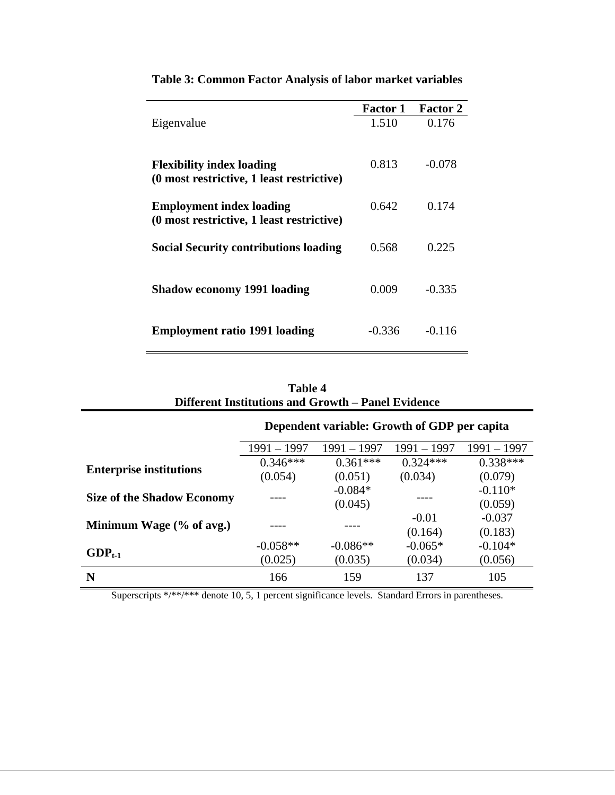|                                                                               | <b>Factor 1</b> | <b>Factor 2</b> |
|-------------------------------------------------------------------------------|-----------------|-----------------|
| Eigenvalue                                                                    | 1.510           | 0.176           |
| <b>Flexibility index loading</b><br>(0 most restrictive, 1 least restrictive) | 0.813           | $-0.078$        |
|                                                                               |                 |                 |
| <b>Employment index loading</b>                                               | 0.642           | 0.174           |
| (0 most restrictive, 1 least restrictive)                                     |                 |                 |
| <b>Social Security contributions loading</b>                                  | 0.568           | 0.225           |
|                                                                               |                 |                 |
| <b>Shadow economy 1991 loading</b>                                            | 0.009           | $-0.335$        |
|                                                                               |                 |                 |
| <b>Employment ratio 1991 loading</b>                                          | $-0.336$        | $-0.116$        |
|                                                                               |                 |                 |

**Table 3: Common Factor Analysis of labor market variables** 

| Table 4                                            |  |
|----------------------------------------------------|--|
| Different Institutions and Growth – Panel Evidence |  |

|                                   |               | Dependent variable: Growth of GDP per capita |               |             |  |  |  |
|-----------------------------------|---------------|----------------------------------------------|---------------|-------------|--|--|--|
|                                   | $1991 - 1997$ | 1991 – 1997                                  | $1991 - 1997$ | 1991 – 1997 |  |  |  |
|                                   | $0.346***$    | $0.361***$                                   | $0.324***$    | $0.338***$  |  |  |  |
| <b>Enterprise institutions</b>    | (0.054)       | (0.051)                                      | (0.034)       | (0.079)     |  |  |  |
| <b>Size of the Shadow Economy</b> |               | $-0.084*$                                    |               | $-0.110*$   |  |  |  |
|                                   | (0.045)       |                                              |               | (0.059)     |  |  |  |
| Minimum Wage (% of avg.)          |               |                                              | $-0.01$       | $-0.037$    |  |  |  |
|                                   |               |                                              | (0.164)       | (0.183)     |  |  |  |
| $GDP_{t-1}$                       | $-0.058**$    | $-0.086**$                                   | $-0.065*$     | $-0.104*$   |  |  |  |
|                                   | (0.025)       | (0.035)                                      | (0.034)       | (0.056)     |  |  |  |
| N                                 | 166           | 159                                          | 137           | 105         |  |  |  |

Superscripts \*/\*\*/\*\*\* denote 10, 5, 1 percent significance levels. Standard Errors in parentheses.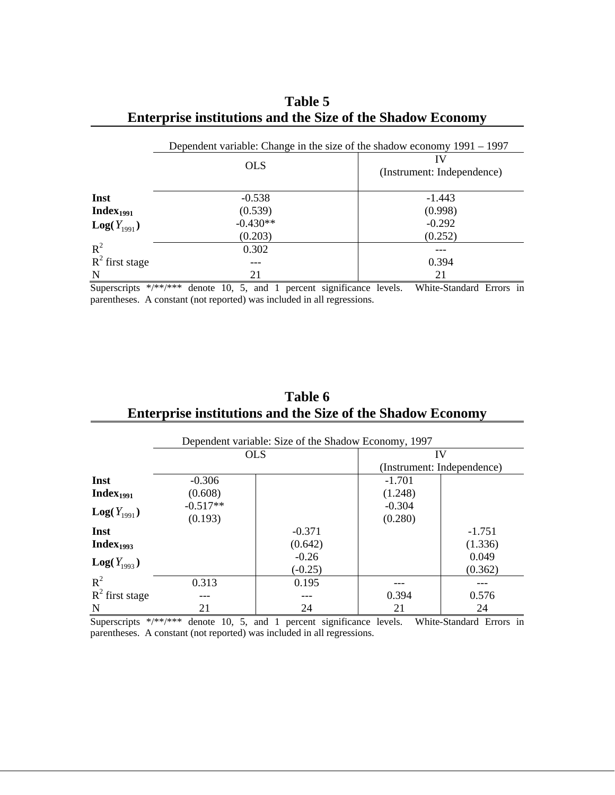|                   |            | Dependent variable: Change in the size of the shadow economy 1991 – 1997 |
|-------------------|------------|--------------------------------------------------------------------------|
|                   | <b>OLS</b> | IV<br>(Instrument: Independence)                                         |
| Inst              | $-0.538$   | $-1.443$                                                                 |
| $Index_{1991}$    | (0.539)    | (0.998)                                                                  |
| $Log(Y_{1991})$   | $-0.430**$ | $-0.292$                                                                 |
|                   | (0.203)    | (0.252)                                                                  |
| $R^2$             | 0.302      |                                                                          |
| $R^2$ first stage |            | 0.394                                                                    |
| N                 | 21         | 21                                                                       |

# **Table 5 Enterprise institutions and the Size of the Shadow Economy**

Superscripts \*/\*\*/\*\*\* denote 10, 5, and 1 percent significance levels. White-Standard Errors in parentheses. A constant (not reported) was included in all regressions.

## **Table 6 Enterprise institutions and the Size of the Shadow Economy**

|                       | Dependent variable: Size of the Shadow Economy, 1997 |            |                            |          |  |  |  |
|-----------------------|------------------------------------------------------|------------|----------------------------|----------|--|--|--|
|                       |                                                      | <b>OLS</b> | IV                         |          |  |  |  |
|                       |                                                      |            | (Instrument: Independence) |          |  |  |  |
| Inst                  | $-0.306$                                             |            | $-1.701$                   |          |  |  |  |
| Index <sub>1991</sub> | (0.608)                                              |            | (1.248)                    |          |  |  |  |
| $Log(Y_{1991})$       | $-0.517**$                                           |            | $-0.304$                   |          |  |  |  |
|                       | (0.193)                                              |            | (0.280)                    |          |  |  |  |
| Inst                  |                                                      | $-0.371$   |                            | $-1.751$ |  |  |  |
| Index $_{1993}$       |                                                      | (0.642)    |                            | (1.336)  |  |  |  |
| $Log(Y_{1993})$       |                                                      | $-0.26$    |                            | 0.049    |  |  |  |
|                       |                                                      | $(-0.25)$  |                            | (0.362)  |  |  |  |
| $R^2$                 | 0.313                                                | 0.195      |                            |          |  |  |  |
| $R^2$ first stage     |                                                      |            | 0.394                      | 0.576    |  |  |  |
| N                     | 21                                                   | 24         | 21                         | 24       |  |  |  |

Superscripts  $*/****$  denote 10, 5, and 1 percent significance levels. White-Standard Errors in parentheses. A constant (not reported) was included in all regressions.